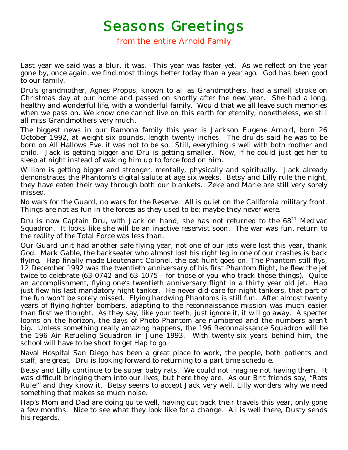## Seasons Greetings<br>from the entire Arnold Family

Last year we said was a blur, it was. This year was faster yet. As we reflect on the year gone by, once again, we find most things better today than a year ago. God has been good to our family.

Dru's grandmother, Agnes Propps, known to all as Grandmothers, had a small stroke on Christmas day at our home and passed on shortly after the new year. She had a long, healthy and wonderful life, with a wonderful family. Would that we all leave such memories when we pass on. We know one cannot live on this earth for eternity; nonetheless, we still all miss Grandmothers very much.

The biggest news in our Ramona family this year is Jackson Eugene Arnold, born 26 October 1992, at weight six pounds, length twenty inches. The druids said he was to be born on All Hallows Eve, it was not to be so. Still, everything is well with both mother and child. Jack is getting bigger and Dru is getting smaller. Now, if he could just get her to sleep at night instead of waking him up to force food on him.

William is getting bigger and stronger, mentally, physically and spiritually. Jack already demonstrates the Phantom's digital salute at age six weeks. Betsy and Lilly rule the night, they have eaten their way through both our blankets. Zeke and Marie are still very sorely missed.

No wars for the Guard, no wars for the Reserve. All is quiet on the California military front. Things are not as fun in the forces as they used to be; maybe they never were.

Dru is now Captain Dru, with Jack on hand, she has not returned to the 68<sup>th</sup> Medivac Squadron. It looks like she will be an inactive reservist soon. The war was fun, return to the reality of the Total Force was less than.

Our Guard unit had another safe flying year, not one of our jets were lost this year, thank God. Mark Gable, the backseater who almost lost his right leg in one of our crashes is back flying. Hap finally made Lieutenant Colonel, the cat hunt goes on. The Phantom still flys, 12 December 1992 was the twentieth anniversary of his first Phantom flight, he flew the jet twice to celebrate (63-0742 and 63-1075 - for those of you who track those things). Quite an accomplishment, flying one's twentieth anniversary flight in a thirty year old jet. Hap just flew his last mandatory night tanker. He never did care for night tankers, that part of the fun won't be sorely missed. Flying hardwing Phantoms is still fun. After almost twenty years of flying fighter bombers, adapting to the reconnaissance mission was much easier than first we thought. As they say, like your teeth, just ignore it, it will go away. A specter looms on the horizon, the days of Photo Phantom are numbered and the numbers aren't big. Unless something really amazing happens, the 196 Reconnaissance Squadron will be the 196 Air Refueling Squadron in June 1993. With twenty-six years behind him, the school will have to be short to get Hap to go.

Naval Hospital San Diego has been a great place to work, the people, both patients and staff, are great. Dru is looking forward to returning to a part time schedule.

Betsy and Lilly continue to be super baby rats. We could not imagine not having them. It was difficult bringing them into our lives, but here they are. As our Brit friends say, "Rats Rule!" and they know it. Betsy seems to accept Jack very well, Lilly wonders why we need something that makes so much noise.

Hap's Mom and Dad are doing quite well, having cut back their travels this year, only gone a few months. Nice to see what they look like for a change. All is well there, Dusty sends his regards.